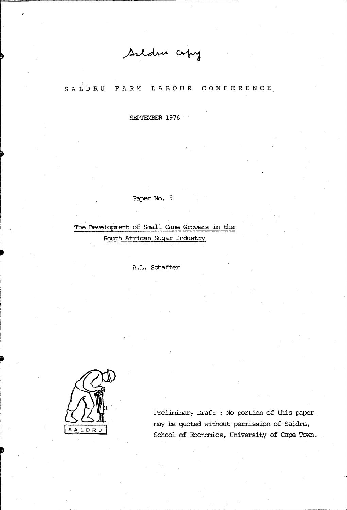Saldru copy

#### F A R M SALDRU LABOUR CONFERENCE

SEPTEMBER 1976

#### Paper No. 5

The Development of Small Cane Growers in the South African Sugar Industry

A.L. Schaffer



Preliminary Draft : No portion of this paper may be quoted without permission of Saldru, School of Economics, University of Cape Town.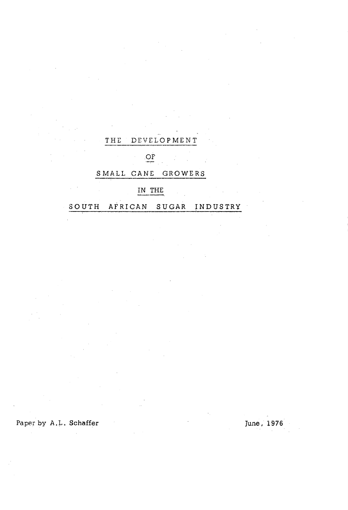## THE DEVELOPMENT

OF

# S MALL CANE GROWE RS

# IN THE

SOUTH AFRICAN SUGAR INDUSTRY

Paper by A.L. Schaffer June, 1976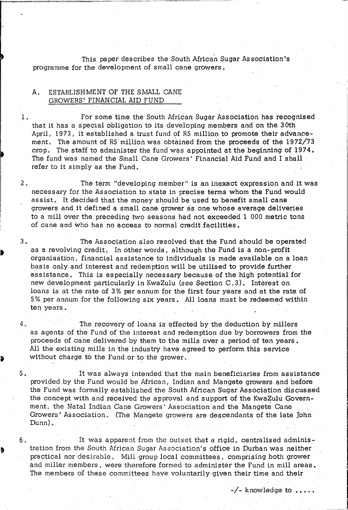, This paper describes the South African Sugar Association's programme for the development of small cane growers.

### A. ESTABLISHMENT OF THE SMALL CANE GROWERS' FINANCIAL AID FUND

1. For some time the South African Sugar Association has recognised that it has a special obligation to its developing members and on the 30th April, 1973, it established a trust fund of R5 million to promote their advancement. The amount of R5 million was obtained from the proceeds of the  $1972/73$ crop. The staff to administer the fund was appointed at the beginning of 1974. The fund was named the Small Cane Growers' Financial Aid Fund and I shall refer to it simply as the Fund.

2. The term "developing member" is an inexact expression and it was necessary for the Association to state in precise terms whom the Fund would assist. It decided that the money should be used to benefit small cane growers and it defined a small cane grower as one whose average deliveries to a mill over the preceding two seasons had not exceeded 1 000 metric tons of cane and who has no access to normal credit facilities.

3. The Association also resolved that the Fund should be operated as a revolving credit. In other words, although the Fund is a non-profit organisation, financial qssistance to individuals is made available on a loan basis only and interest and redemption will be utilised to provide further assistance. This is especially necessary because of the high potential for new development particularly in KwaZulu. (see Section C, 3). Interest on loans is at the rate of 3% per annum for the first four years and at the rate of 5% per annum for the following six years. All loans must be redeemed within ten years.

4. The recovery of loans is effected by the deduction by millers as agents of the Fund of the interest and redemption due by borrowers from the proceeds of cane delivered by them to the mills over a period of ten years. All the existing mills in the industry have agreed to perform this service without charge to the Fund or to the grower.

5. It was always intended that the main beneficiaries from assistance provided by the Fund would be African, Indian and Mangete growers .and before the Fund was formally established the South African Sugar Association discussed the concept with and received the approval and support of the KwaZulu Government, the Natal Indian Cane Growers' Association and the Mangete Cane . Growers' Association. (The Mangete growers are descendants of the late John the Fund was formally established the South African Sugar Association dis<br>the concept with and received the approval and support of the KwaZulu Gor<br>ment, the Natal Indian Cane Growers' Association and the Mangete Cane<br>Grow

6. It was apparent from the outset that a rigid, centralised administration from the South African Sugar Association's office in Durban was neither practical nor desirable • Mill group local committees, comprising both grower and miller members, were therefore formed to administer the Fund in mill areas. The members of these committees have voluntarily given their time and their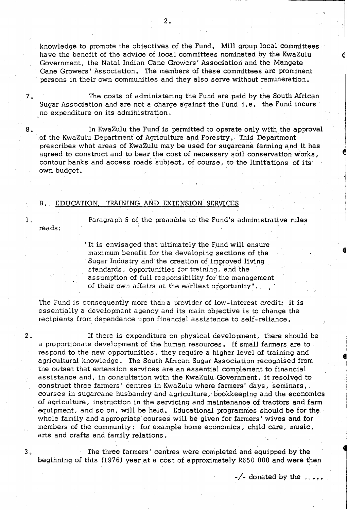knowledge to promote the objectives of the Fund. Mill group local committees have the benefit of the advice of local committees nominated by the KwaZulu Government, the Natal Indian Cane Growers i Association and the Mangete Cane Growers' Association. The members of these committees are prominent persons in their own communities and they also serve without remuneration.

7. The costs of administering the Fund are paid by the South African Sugar Association and are not a charge against the Fund i.e. the Fund incurs' . no expenditure on its administration.

8. In KwaZulu the Fund is permitted to operate only with the approval of the KwaZulu Department of Agriculture and Forestry.' This Department prescribes what areas of KwaZulu may be used for sugarcane farming and it has agreed to construct and to bear the cost of necessary soil conservation works, contour banks and access roads subject, of course, to the limitations of its own budget.

#### B. EDUCATION, TRAINING AND EXTENSION SERVICES

reads:

1. Paragraph 5 of the preamble to the Fund's administrative rules

"It is envisaged that ultimately the Fund will ensure maximum benefit for the developing sections of the . Sugar Industry and the creation of improved living standards, opportunities for training, and the assumption of full responsibility for the management of their own affairs at the earliest opportunity".

The Fund is consequently more than a provider of low-interest credit: it is essentially a development agency and its main objective is to change the recipients from dependence upon financial assistance to self-reliance.

2. If there is expenditure on physical development, there should be a proportionate development of the human resources. If small farmers are to res pond to the new opportunities, they require a higher level pf training and agricultural knowledge. The South African Sugar Association recognised from the outset that extension services are an essential complement to financial assistance and, in consultation with the KwaZulu Government, it resolved to construct three farmers' centres in KwaZulu where farmers' days, seminars, courses in sugarcane husbandry and agriculture, bookkeeping and the economics of agriculture, instruction in the servicing and maintenance of tractors and farm equipment, and so on, will be held. Educational programmes should be for the whole family and appropriate courses will be given for farmers' wives and for members of the community: for example home economics, child care, music, arts and crafts and family relations.

3. The three farmers' centres were com'pleted and equipped by the beginning of this (1976) yearat a cost of approximately R650 000 and were then

 $-\sqrt{ }$  donated by the  $\dots$ .

..

, ~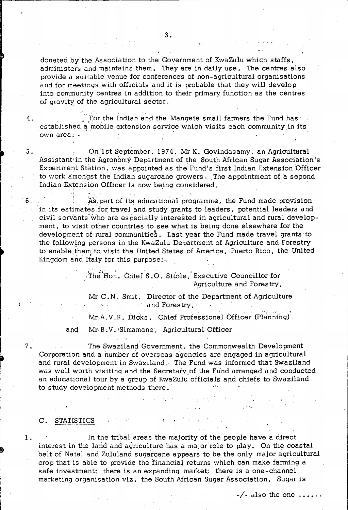donated by the Association to the Government of KwaZulu which staffs, administers and maintains them. They are in daily use. The centres also provide a suitable venue for conferences of non-agricultural organisations and for meetings with officials and it is probable that they will develop into community centres in addition to their primary function as the centres of gravity of the agricultural sector.

For the Indian and the Mangete small farmers the Fund has established a mobile extension service which visits each community in its own area: -

On 1st September, 1974, Mr K. Govindasamy, an Agricultural Assistant in the Agronomy Department of the South African Sugar Association's Experiment Station, was appointed as the Fund's first Indian Extension Officer to work amongst the Indian sugarcane growers. The appointment of a second Indian Extension Officer is now being considered.

As part of its educational programme, the Fund made provision in its estimates for travel and study grants to leaders, potential leaders and civil servants who are especially interested in agricultural and rural development, to visit other countries to see what is being done elsewhere for the development of rural communities. Last year the Fund made travel grants to the following persons in the KwaZulu Department of Agriculture and Forestry to enable them to visit the United States of America, Puerto Rico, the United Kingdom and Italy for this purpose:-

> The Hon. Chief S.O. Sitole, Executive Councillor for Agriculture and Forestry,

Mr C.N. Smit, Director of the Department of Agriculture and Forestry,

Mr A.V.R. Dicks, Chief Professional Officer (Planning)

Mr B.V. Simamane, Agricultural Officer and

The Swaziland Government, the Commonwealth Development Corporation and a number of overseas agencies are engaged in agricultural and rural development in Swaziland. The Fund was informed that Swaziland was well worth visiting and the Secretary of the Fund arranged and conducted an educational tour by a group of KwaZulu officials and chiefs to Swaziland to study development methods there.

#### C. STATISTICS

 $4<sub>1</sub>$ 

 $5<sub>o</sub>$ 

7.

 $1<sub>0</sub>$ 

In the tribal areas the majority of the people have a direct interest in the land and agriculture has a major role to play. On the coastal belt of Natal and Zululand sugarcane appears to be the only major agricultural crop that is able to provide the financial returns which can make farming a safe investment: there is an expanding market; there is a one-channel marketing organisation viz. the South African Sugar Association. Sugar is

 $\frac{1}{2}$  also the one  $\cdots$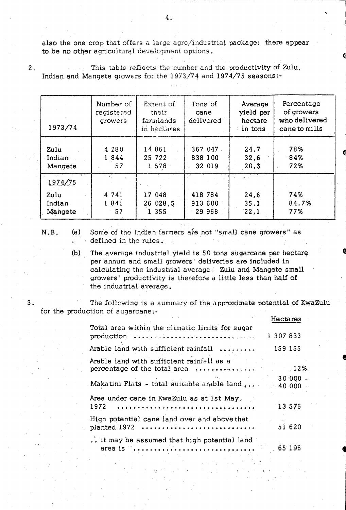also the one crop that offers a large agro/industrial package: there appear to be no other agricultural development options.

 $2.$ 

This table reflects the number and the productivity of Zulu, Indian and Mangete growers for the 1973/74 and 1974/75 seasons:-

| 1973/74                              | Number of<br>registered<br>growers | Extent of<br>their<br>farmlands<br>in hectares | Tons of<br>cane<br>delivered | Average<br>yield per<br>hectare<br>in tons | Percentage<br>of growers<br>who delivered<br>cane to mills |
|--------------------------------------|------------------------------------|------------------------------------------------|------------------------------|--------------------------------------------|------------------------------------------------------------|
| Zulu<br>Indian<br>Mangete            | 4 28 0<br>1 8 4 4<br>57            | 14 861<br>25 722<br>1 578                      | 367047.<br>838 100<br>32 019 | 24,7<br>32,6<br>20,3                       | 78%<br>84%<br>72%                                          |
| 1974/75<br>Zulu<br>Indian<br>Mangete | 4 741<br>1 8 4 1<br>57             | 17 048<br>26'028,5<br>$1355 -$                 | 418 784<br>913 600<br>29 968 | 24,6<br>35,1<br>22,1                       | 74%<br>84,7%<br>77%                                        |

 $N.B.$ 

 $3<sub>1</sub>$ 

Some of the Indian farmers are not "small cane growers" as  $(a)$ defined in the rules.

 $(b)$ The average industrial yield is 50 tons sugarcane per hectare per annum and small growers' deliveries are included in calculating the industrial average. Zulu and Mangete small growers' productivity is therefore a little less than half of the industrial average.

The following is a summary of the approximate potential of KwaZulu for the production of sugarcane:-

|                                                                                                  | Hectares  |
|--------------------------------------------------------------------------------------------------|-----------|
| Total area within the climatic limits for sugar<br>production                                    | 1 307 833 |
| Arable land with sufficient rainfall                                                             | 159 155   |
| Arable land with sufficient rainfall as a                                                        |           |
| Makatini Flats - total suitable arable land  40.000                                              | $30000 -$ |
| Area under cane in KwaZulu as at 1st May,<br>1972                                                | 13 576    |
| High potential cane land over and above that<br>planted 1972                                     | 51 620    |
| it may be assumed that high potential land<br>area is essentially and the component of the anti- | 65 196    |

 $4<sub>a</sub>$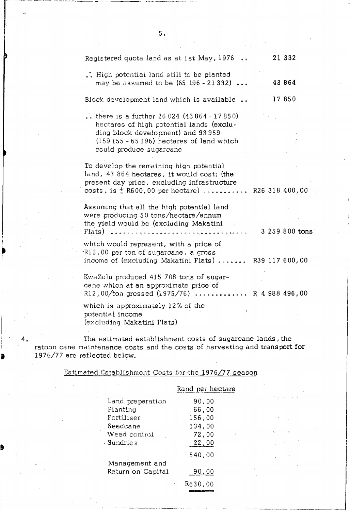| Registered quota land as at 1st May, 1976<br>$\ddot{\phantom{a}}$                                                                                                                                    |  | 21 332         |  |
|------------------------------------------------------------------------------------------------------------------------------------------------------------------------------------------------------|--|----------------|--|
| .°. High potential land still to be planted<br>may be assumed to be $(65\ 196 - 21\ 332)$                                                                                                            |  | 43 864         |  |
| Block development land which is available                                                                                                                                                            |  | 17850          |  |
| there is a further $26024$ (43864 - 17850)<br>hectares of high potential lands (exclu-<br>ding block development) and 93 959<br>$(159155 - 65196)$ hectares of land which<br>could produce sugarcane |  |                |  |
| To develop the remaining high potential<br>land, 43 864 hectares, it would cost: (the<br>present day price, excluding infrastructure<br>costs, is $\frac{1}{k}$ R600,00 per hectare)  R26 318 400,00 |  |                |  |
| Assuming that all the high potential land<br>were producing 50 tons/hectare/annum<br>the yield would be (excluding Makatini<br>Flats)                                                                |  | 3 259 800 tons |  |
| which would represent, with a price of<br>R12,00 per ton of sugarcane, a gross<br>income of (excluding Makatini Flats)  R39 117 600,00                                                               |  |                |  |
| KwaZulu produced 415 708 tons of sugar-<br>cane which at an approximate price of<br>R12,00/ton grossed (1975/76)  R 4 988 496,00                                                                     |  |                |  |
| which is approximately 12% of the<br>ţ.<br>potential income                                                                                                                                          |  |                |  |

 $5<sub>o</sub>$ 

(excluding Makatini Flats)

 $\mathbf{A}^{\dagger}$ 

I

•

4. The estimated establishment costs of sugarcane lands, the ratoon cane maintenance costs and the costs of harvesting and transport for 1976/77 are reflected below.

Estimated Establishmont Costs for-the 1976/77 season

|                   | Rand per hectare |
|-------------------|------------------|
| Land preparation  | 90,00            |
| Planting          | 66,00            |
| Fertiliser        | 156,00           |
| . Seedcane        | 134,00           |
| Weed control      | 72,00            |
| - Sundries        | 22,00            |
|                   | 540,00           |
| Management and    |                  |
| Return on Capital | 90,00            |
|                   | R630,00          |
|                   |                  |
|                   |                  |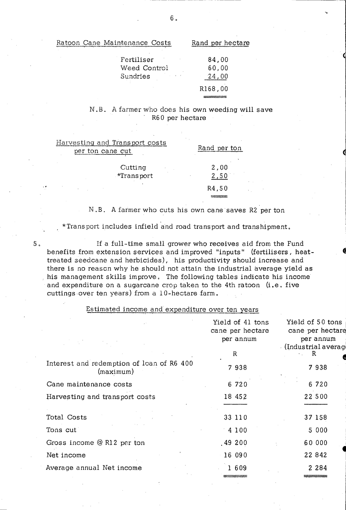| Fertiliser                          | 84,00   |
|-------------------------------------|---------|
| Weed Control                        | 60,00   |
| Sundries<br><b>Contract Manager</b> | 24,00   |
|                                     | R168,00 |
|                                     |         |

#### N.B. A farmer who does his own weeding will save R60 per hectare

| Harvesting and Transport costs<br>per ton cane cut | Rand per ton |
|----------------------------------------------------|--------------|
| Cutting<br>*Transport                              | 2,00<br>2,50 |
|                                                    | R4,50        |

## N . B. A farmer who cuts his own cane saves R2 per ton

\*Trans port includes infield and road trans port and transhipment.

s. If a full-time small grower who receives aid from the Fund benefits from extension services and improved "inputs" (fertilisers, heattreated seedcane and herbicides), his productivity should increase and there is no reasen why he should not attain the industrial average yield as . his management skills improve. The following tables indicate his income and expenditure on a sugarcane crop taken to the 4th ratoon (i.e. five cuttings over ten years) from a 10-hectare farm.

#### Estimated income and expenditure over ten years

|                                                        | Yield of 41 tons<br>cane per hectare<br>per annum<br>R | Yield of 50 tons<br>cane per hectare<br>per annum<br>/ (Industrial average<br>- R |
|--------------------------------------------------------|--------------------------------------------------------|-----------------------------------------------------------------------------------|
| Interest and redemption of loan of R6 400<br>(maximum) | 7938                                                   | 7938                                                                              |
| Cane maintenance costs                                 | 6 7 2 0                                                | 6 7 2 0                                                                           |
| Harvesting and transport costs                         | 18 452                                                 | 22 5 0 0                                                                          |
| Total Costs                                            | 33 110                                                 | 37 158                                                                            |
| Tons cut                                               | 4100                                                   | 5 0 0 0                                                                           |
| Gross income $@$ R12 per ton                           | .49200                                                 | 60 000                                                                            |
| Net income                                             | 16 090                                                 | 22 842                                                                            |
| Average annual Net income                              | 1 609                                                  | 2 2 8 4                                                                           |
|                                                        |                                                        |                                                                                   |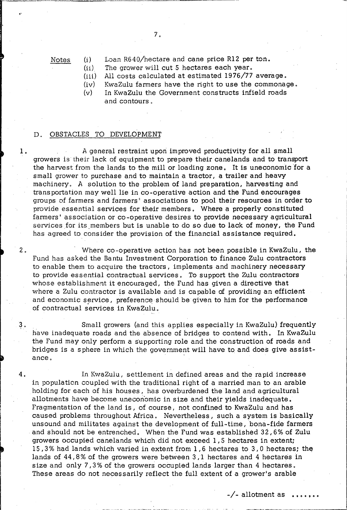Notes (1) Loan R640/hectare and cane price R12 per ton.

 $(ii)$ The grower will cut 5 hectares each year.

 $(iii)$ All costs calculated at estimated 1976/77 average.

(iv) KwaZulu farmers have the right to use the commonage.

(v) In KwaZulu the Government constructs infield roads and contours.

#### D. OBSTACLES TO DEVELOPMENT

1. A general restraint upon improved productivity for all small growers is their lack of equipment to prepare their canelands and to transport the harvest from the lands to the mill or loading zone. It is uneconomic 'for a small grower to purchase and to maintain a tractor, a trailer and heavy machinery. A solution to the problem of land preparation, harvesting and transportation may well lie in co-operative action and the Fund encourages groups of farmers and farmers' associations to pool their resources in order to provide essential services for their members. Where a properly constituted farmers' association or co-operative desires to provide necessary agricultural services for its members but is unable to do so due to lack of money, the Fund has agreed to consider the provision of the financial assistance required.

2. Where co-operative action has not been possible in KwaZulu, the Fund has asked the Bantu Investment Corporation to finance Zulu contractors to enable them to acquire the tractors, implements and machinery necessary to provide essential contractual services. To support the Zulu contractors whose establishment it encouraged, the Fund has given a directive that where a Zulu contractor is available and is capable of providing an efficient and economic service, preference should be given to him for the performance of contractual services in KwaZulu.

<sup>~</sup>0 Small growers (and this applies especially in KwaZulu) frequently have inadequate roads and the absence of bridges to contend with. In KwaZulu the Fund may only perform a supporting role and the construction of roads and bridges is a sphere in which the government will have to and does give assistance.

4. In KwaZulu, settlement in defined areas and the rapid increase in population coupled with the traditional right of a married man to an arable holding for each of his houses, has overburdened the land and agricultural allotments have become uneconomic in size and their yields inadequate. Fragmentation of the land is, of course, not confined to KwaZulu and has caused problems throughout Mrica. Nevertheless, such a system is basically unsound and militates against the development of full-time, bona-fide farmers and should not be entrenched. When the Fund was established 32,6% of Zulu growers occupied canelands which did not exceed 1,5 hectares in extent; 15,3% had lands which varied in extent from 1,6 hectares to 3,0 hectares; the lands of 44,8% of the growers were between 3,1 hectares and 4 hectares in size and only 7,3% of the growers occupied lands larger than 4 hectares. These areas do not necessarily reflect the full extent of a grower's arable

 $-\sqrt{ }$  allotment as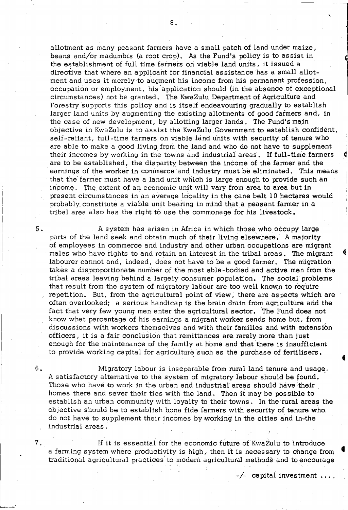allotment as many peasant farmers have a small patch of land under maize, beans and/or madumbis(a root crop). As the Fund's policy is to assist in the establishment of full time farmers on viable land units, it issued a directive that where an applicant for financial assistance has a small allotment and uses it merely to augment his income from his permanent profession, occupation or employment, his 'application should (in the absence of exceptional circumstances) not be granted. The KwaZulu Department of Agriculture and Forestry supports this policy and is itself endeavouring gradually to establish larger land units by augmenting the existing allotments of good farmers and, in the case of new development, by allotting larger lands. The Fund's main objective in KwaZulu is to assist the KwaZulu.Government to establish confident, self-reliant, full-time farmers on viable land units with security of tenure who are able to make a good living from the land and who do not have to supplement their incomes by working in the towns and industrial areas. If full-time farmers are to be established, the disparity between the income of the farmer and the earnings of the worker in commerce and industry must be eliminated. This means that the farmer must have a land unit which is large enough to provide such an income. The extent of an economic unit will vary from area to area but in present circumstances in an average locality in the cane belt 10 hectares would probably constitute a viable unit bearing in mind that a peasant farmer in a tribal area also has the right to use the commonage for his livestock.

f>. A system has arisen in Africa in which those who occupy large parts of the land seek and obtain much of their living elsewhere. A majority of employees in commerce and industry and other urban occupations are migrant males who have rights to and retain an ihterestin the tribal areas. The migrant labourer cannot and, indeed, does not have to be a good farmer. The migration takes a disproportionate number of the most able-'bodied and active men from the tribal areas leaving behind a largely consumer population. The social problems that result from the system of migratory labour are too well known to require repetition. But, from the agricultural point of view, there are as pects which are often overlooked; a serious handicap is the brain drain from agriculture and the fact that very few young men enter the agricultural sector. The Fund does not know what percentage of his earnings a migrant worker sends home but, from discussions with workers themselves and with their families and with extension officers, it is a fair conclusion that remittances are rarely more than just enough for the maintenance of the family at home and that there is insufficient to provide working capital for agriculture such as the purchase of fertilisers.

Migratory labour is inseparable from rural land tenure and usage. A satisfactory alternative to the system of migratory labour should be found. Those who have to work in the urban and industrial areas should have their homes there and sever their ties with the land. Then it may be pos sible to establish an urban community with loyalty to their towns. In the rural areas the objective should be to establish bona fide farmers with security of tenure who. do not have to supplement their incomes by working in the cities and in··the industrial areas.

6,

7.

If it is essential for the economic future of KwaZulu to introduce a farming system where productivity is high, then it is necessary to change from traditional agricultural practices'to modern agricultural methods 'and to encourage

 $-\sqrt{2}$  capital investment  $\ldots$ 

"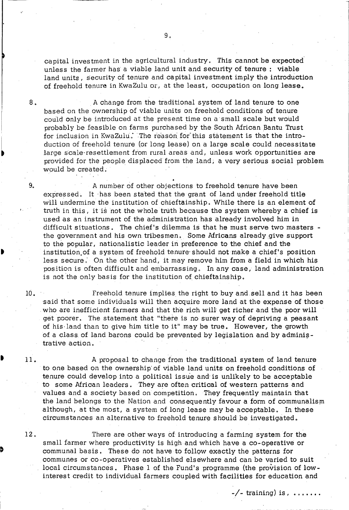capital investment in the agricultural industry. This cannot be expected unless the farmer has a viable land unit and security of tenure: viable land units, security of tenure and capital investment imply the introduction of freehold tenure in KwaZulu or, at the least, occupation on long lease.

8. A change from the traditional system of land tenure to one based on the ownership of viable units on freehold conditions of tenure could only be introduced at the present time on a small scale but would probably be feasible on farms purchased by the South African Bantu Trust for inclusion in KwaZulu. The reason for this statement is that the introduction of freehold tenure (or long lease) on a large scale could necessitate large scale·resettlement from rural areas and, unless work opportunities are provided for the people displaced from the land; a very serious social problem would be created.

9. A number of other objections to freehold tenure have been expressed. It has been stated that the grant of land under freehold title will undermine the institution of chieftainship. While there is an element of truth in this, it is not the whole truth because the system whereby a chief is used as an instrument of the administration has already involved him in difficult situations. The chief's dilemma is that he must serve two masters the government and his own tribesmen. Some Mricans already give support to the popular, nationalistic leader in preference to the chief and the institution,of a system of freehold tenure'should not make a chief's position less secure. On the other hand, it may remove him from a field in which his position is often difficult and embarrassing. In any case, land administration is not 'the only basis for the institution of chieftainship.

Freehold tenure implies the right to buy and sell and it has been said that some individuals will then acquire more land at the expense of those who are inefficient farmers and that the rich will get richer and the poor will get poorer. The statement that "there is no surer way of depriving a peasant of his·land than to give him title to it" may be true. However, the growth of a class of land barons could be prevented by legislation and by administrative action.

A proposal to change from the traditional system of land tenure to one based on the ownership' of viable land units on freehold conditions of tenure could develop into a political issue and is unlikely to be acceptable to some Mrican leaders . They are often critical of western patterns and values and a society based on competition. They frequently maintain that the land belongs to the Nation and consequently favour a form of communalism although, at the most, a system of long lease may be acceptable. In these circumstances an alternative to freehold tenure should be investigated.

12.

10.

11.

I •<br>•<br>•

> There are other ways of introducing a farming system for the small farmer where productivity is high and which have a co-operative or communal basis. These do not have to follow exactly the patterns for communes or co-operatives established elsewhere and can be varied to suit local circumstances. Phase 1 of the Fund's programme (the provision of lowinterest credit to individual farmers coupled with facilities for education and

-/- training) is,  $\dots\dots$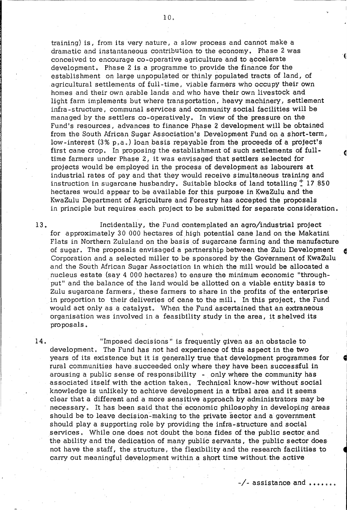training) is, from its very nature, a slow process and cannot make a dramatic and instantaneous contribution to the economy. Phase 2 was conceived to encourage co~operative agriculture and to accelerate development. Phase 2 is a programme to provide the finance for the establishment on large unpopulated or thinly populated tracts of land, of agricultural settlements of full-time, viable farmers who occupy their own homes and their own arable lands and who have their own livestock and light farm implements but where trans portation, heavy machinery, settlement infra-structure, communal services and community social facilities will be managed by the settlers co-operatively. In view of the pressure on the Fund's resources, advances to finance Phase 2 development will be obtained from the South African Sugar Association's Development Fund op a short-term, low-interest  $(3\% p,a.)$  loan basis repayable from the proceeds of a project's first cane crop. In proposing the establishment of such settlements of fulltime farmers under Phase 2, it was envisaged that settlers selected for projects would be employed in the process of development as labourers at industrial rates of pay and that they would receive simultaneous training and instruction in sugarcane husbandry. Suitable blocks of land totalling  $\frac{1}{4}$  17 850 hectares would appear to be available for this purpose in KwaZulu and the KwaZulu Department of Agriculture and Forestry has accepted the proposals in principle but requires each project to be submitted for separate consideration.

13. Incidentally, the Fund contemplated an agro/industrial project for approximately 30 000 hectares of high potential cane land on the Makatini Flats in Northern Zululand on the basis of sugarcane farming and the manufacture of sugar. The proposals envisaged a partnership between the Zulu Development Corporation and a selected miller to be sponsored by the Government of KwaZulu and the South African Sugar Association in which the mill would be allocated a nucleus estate (say 4 000 hectares) to ensure the minimum economic "throughput" and the balance of the land would be allotted on a viable entity basis to Zulu sugarcane farmers,' these farmers to share in the profits of the enterprise in proportion to their deliveries of cane to the mill. In this project, the Fund would act only as a catalyst. When the Fund ascertained that an extranebus organisation was involved in a feasibility study in the area, it shelved its proposals.

14. "Imposed decisions" is frequently given as an obstacle to development. The Fund has not had experience of this aspect in the two years of its existence but it is generally true that development programmes for rural communities have succeeded only where they have been successful in arousing a public sense of responsibility - only where the community has associated itself with the action taken. Technical know-how without social knowledge is unlikely to achieve development in a tribal area and it seems clear that a different and a more sensitive approach by administrators may be necessary. It has been sqid that the economic philosophy in developing areas should be to leave decision-making to the private sector and a government should playa supporting role by providing the infra-structure and social services. While one does not doubt the bona fides of the public sector and the ability and the dedication of many public servants, the public sector does not have the staff, the structure, the flexibility and the research facilities to carry out meaningful development within a short time without. the active

 $-\sqrt{-}$  assistance and  $\ldots$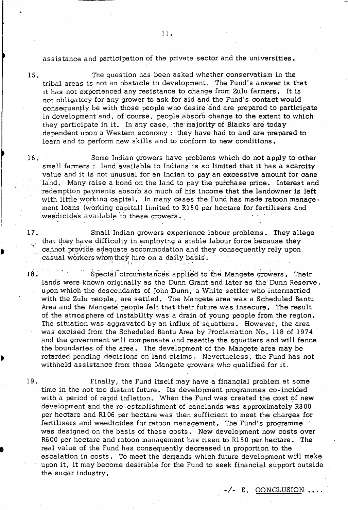assistance and participation of the private sector and the universities.

15.

The question has been asked whether conservatism in the tribal areas is not an obstacle to development. The Fund's answer is that it has not experienced any resistance to change from Zulu farmers. It is not obligatory for any grower to ask for aid and the Fund's contact would consequently be with those people who desire and are prepared to participate in development and, of course, people absorb change to the extent to which they participate in it. In any case, the majority of Blacks are today dependent upon a Western economy: they have had to and are prepared to learn and to perform new skills and to conform to new conditions.

16. Some Indian growers have problems which do not apply to other small farmers: land available to Indians is so limited that it has a scarcity value and it is not unusual for an Indian to pay an excessive amount for cane land. Many raise a bond on the land to pay the purchase price. Interest and redemption payments absorb so much of his income that the landowner is left with little working capital. In many cases the Fund has made ratoon management loans (working capital) limited to R15 0 per hectare for fertilisers and weedicides available to these growers.

Small Indian growers experience labour problems. They allege that they have difficulty in employing a stable labour force because they cannot provide adequate accommodation and they consequently rely upon casual workers whom they hire on a daily basis.

19. Special circumstances applied to the Mangete growers. Their lands were known originally as the Dunn Grant and later as the Dunn Reserve, upon which the descendants of John Dunn, a White settler who intermarried with the Zulu people, are settled. The Mangete area was a Scheduled Bantu Area and the Mangete people felt that their future was insecure. The result of the atmos phere of instability was a drain of young people from the region. The situation was aggravated by an influx of squatters. However, the area was excised from the Scheduled Bantu Area by Proclamation No. 118 of 1974 and the government will compensate and resettle the squatters and will fence the boundaries of the area. The development of the Mangete area may be retarded pending decisions on land claims. Nevertheless, the Fund has not withheld assistance from those Mangete growers who qualified for it.

17.

19. Finally, the Fund itself may have a financial problem at some time in the not too distant future. Its development programmes co-incided with a period of rapid inflation. When the Fund was created the cost of new development and the re-establishment of canelands was approximately R300 per hectare and Rl06 per hectare was then sufficient to meet the charges for fertilisers and weedicides for ratoon management. The Fund's programme' was designed on the basis of these costs. New development now costs over R600 per hectare and ratoon management has risen to R150 per hectare. The real value of the Fund has consequently decreased in proportion to the escalation in costs. To meet the demands which future development will make upon it, it may become desirable for the Fund to seek financial support outside the sugar industry.

-/- E. CONCLUSION.